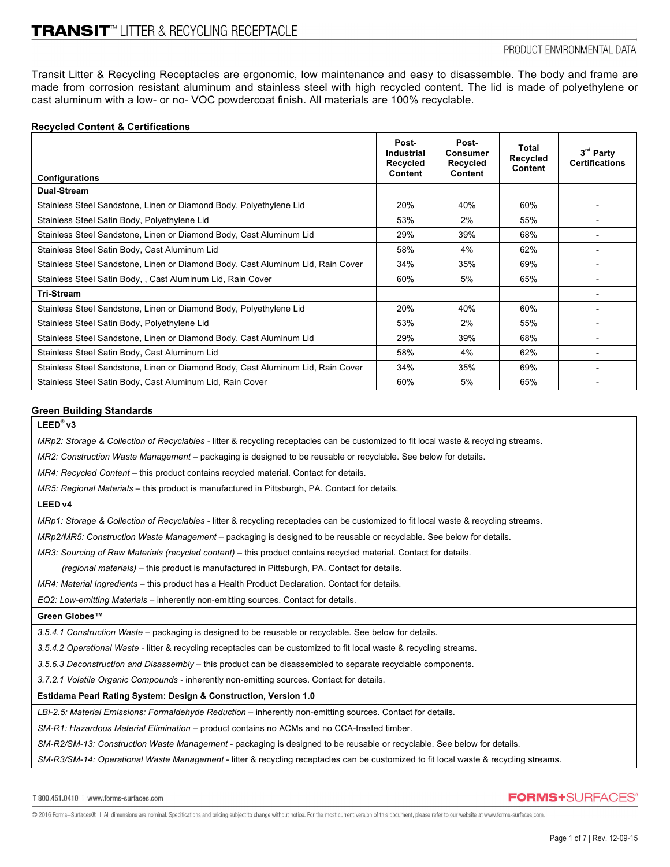Transit Litter & Recycling Receptacles are ergonomic, low maintenance and easy to disassemble. The body and frame are made from corrosion resistant aluminum and stainless steel with high recycled content. The lid is made of polyethylene or cast aluminum with a low- or no- VOC powdercoat finish. All materials are 100% recyclable.

### **Recycled Content & Certifications**

| <b>Configurations</b>                                                           | Post-<br>Industrial<br>Recycled<br>Content | Post-<br><b>Consumer</b><br>Recycled<br>Content | Total<br>Recycled<br>Content | 3rd Party<br><b>Certifications</b> |
|---------------------------------------------------------------------------------|--------------------------------------------|-------------------------------------------------|------------------------------|------------------------------------|
| Dual-Stream                                                                     |                                            |                                                 |                              |                                    |
| Stainless Steel Sandstone, Linen or Diamond Body, Polyethylene Lid              | 20%                                        | 40%                                             | 60%                          |                                    |
| Stainless Steel Satin Body, Polyethylene Lid                                    | 53%                                        | 2%                                              | 55%                          |                                    |
| Stainless Steel Sandstone, Linen or Diamond Body, Cast Aluminum Lid             |                                            | 39%                                             | 68%                          |                                    |
| Stainless Steel Satin Body, Cast Aluminum Lid                                   |                                            | 4%                                              | 62%                          |                                    |
| Stainless Steel Sandstone, Linen or Diamond Body, Cast Aluminum Lid, Rain Cover |                                            | 35%                                             | 69%                          |                                    |
| Stainless Steel Satin Body, , Cast Aluminum Lid, Rain Cover                     |                                            | 5%                                              | 65%                          |                                    |
| <b>Tri-Stream</b>                                                               |                                            |                                                 |                              |                                    |
| Stainless Steel Sandstone, Linen or Diamond Body, Polyethylene Lid              | 20%                                        | 40%                                             | 60%                          |                                    |
| Stainless Steel Satin Body, Polyethylene Lid                                    | 53%                                        | 2%                                              | 55%                          |                                    |
| Stainless Steel Sandstone, Linen or Diamond Body, Cast Aluminum Lid             |                                            | 39%                                             | 68%                          |                                    |
| Stainless Steel Satin Body, Cast Aluminum Lid                                   |                                            | 4%                                              | 62%                          |                                    |
| Stainless Steel Sandstone, Linen or Diamond Body, Cast Aluminum Lid, Rain Cover |                                            | 35%                                             | 69%                          |                                    |
| Stainless Steel Satin Body, Cast Aluminum Lid, Rain Cover                       | 60%                                        | 5%                                              | 65%                          |                                    |

#### **Green Building Standards**

#### **LEED® v3**

*MRp2: Storage & Collection of Recyclables -* litter & recycling receptacles can be customized to fit local waste & recycling streams.

*MR2: Construction Waste Management –* packaging is designed to be reusable or recyclable. See below for details.

*MR4: Recycled Content* – this product contains recycled material. Contact for details.

*MR5: Regional Materials* – this product is manufactured in Pittsburgh, PA. Contact for details.

### **LEED v4**

*MRp1: Storage & Collection of Recyclables -* litter & recycling receptacles can be customized to fit local waste & recycling streams.

*MRp2/MR5: Construction Waste Management –* packaging is designed to be reusable or recyclable. See below for details.

*MR3: Sourcing of Raw Materials (recycled content) –* this product contains recycled material. Contact for details.

 *(regional materials)* – this product is manufactured in Pittsburgh, PA. Contact for details.

*MR4: Material Ingredients –* this product has a Health Product Declaration. Contact for details.

*EQ2: Low-emitting Materials –* inherently non-emitting sources. Contact for details.

#### **Green Globes™**

*3.5.4.1 Construction Waste* – packaging is designed to be reusable or recyclable. See below for details.

*3.5.4.2 Operational Waste -* litter & recycling receptacles can be customized to fit local waste & recycling streams.

*3.5.6.3 Deconstruction and Disassembly –* this product can be disassembled to separate recyclable components.

*3.7.2.1 Volatile Organic Compounds -* inherently non-emitting sources. Contact for details.

# **Estidama Pearl Rating System: Design & Construction, Version 1.0**

*LBi-2.5: Material Emissions: Formaldehyde Reduction –* inherently non-emitting sources. Contact for details.

*SM-R1: Hazardous Material Elimination –* product contains no ACMs and no CCA-treated timber.

*SM-R2/SM-13: Construction Waste Management -* packaging is designed to be reusable or recyclable. See below for details.

*SM-R3/SM-14: Operational Waste Management* - litter & recycling receptacles can be customized to fit local waste & recycling streams.

T 800.451.0410 | www.forms-surfaces.com

**FORMS+SURFACES** 

© 2016 Forms+Surfaces® | All dimensions are nominal. Specifications and pricing subject to change without notice. For the most current version of this document, please refer to our website at www.forms-surfaces.com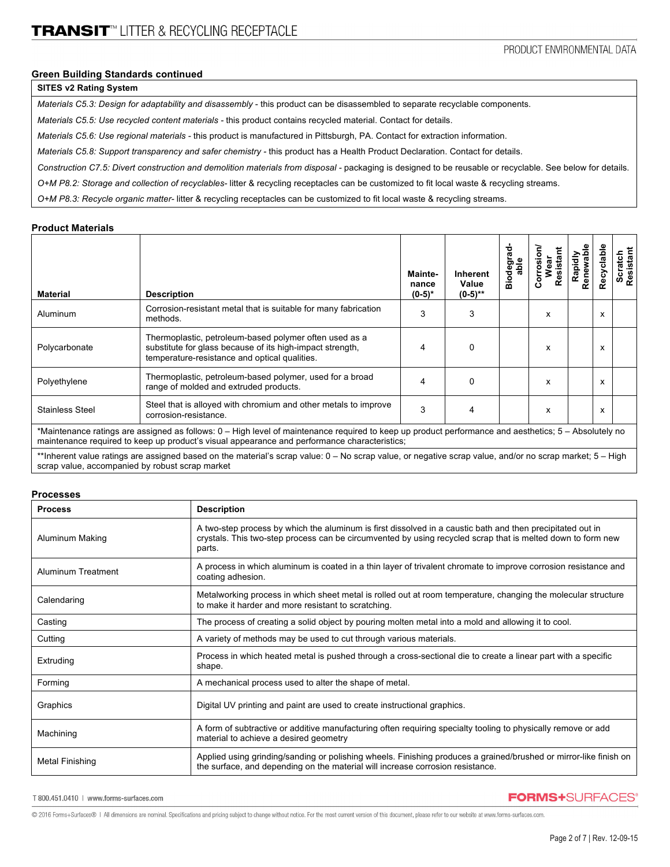# **Green Building Standards continued**

| <b>SITES v2 Rating System</b>                                                                                                                              |
|------------------------------------------------------------------------------------------------------------------------------------------------------------|
| Materials C5.3: Design for adaptability and disassembly - this product can be disassembled to separate recyclable components.                              |
| Materials C5.5: Use recycled content materials - this product contains recycled material. Contact for details.                                             |
| Materials C5.6: Use regional materials - this product is manufactured in Pittsburgh, PA. Contact for extraction information.                               |
| Materials C5.8: Support transparency and safer chemistry - this product has a Health Product Declaration. Contact for details.                             |
| Construction C7.5: Divert construction and demolition materials from disposal - packaging is designed to be reusable or recyclable. See below for details. |
| O+M P8.2: Storage and collection of recyclables-litter & recycling receptacles can be customized to fit local waste & recycling streams.                   |
| O+M P8.3: Recycle organic matter-litter & recycling receptacles can be customized to fit local waste & recycling streams.                                  |

#### **Product Materials**

| <b>Material</b>                                                                                                                                                                                                                                       | <b>Description</b>                                                                                                                                                                                          | Mainte-<br>nance<br>$(0-5)*$ | <b>Inherent</b><br>Value<br>$(0-5)$ ** | ਠ<br>Biodegra<br>able | orrosion<br>Resistant<br>Wear<br>Ō | Rapidly<br>Renewable | Recyclable | Scratch<br>Resistant |  |
|-------------------------------------------------------------------------------------------------------------------------------------------------------------------------------------------------------------------------------------------------------|-------------------------------------------------------------------------------------------------------------------------------------------------------------------------------------------------------------|------------------------------|----------------------------------------|-----------------------|------------------------------------|----------------------|------------|----------------------|--|
| Aluminum                                                                                                                                                                                                                                              | Corrosion-resistant metal that is suitable for many fabrication<br>methods.                                                                                                                                 | 3                            | 3                                      |                       | x                                  |                      | x          |                      |  |
| Polycarbonate                                                                                                                                                                                                                                         | Thermoplastic, petroleum-based polymer often used as a<br>substitute for glass because of its high-impact strength,<br>temperature-resistance and optical qualities.                                        | 4                            | 0                                      |                       | x                                  |                      | x          |                      |  |
| Polyethylene                                                                                                                                                                                                                                          | Thermoplastic, petroleum-based polymer, used for a broad<br>range of molded and extruded products.                                                                                                          | 4                            | $\Omega$                               |                       | $\mathsf{x}$                       |                      | x          |                      |  |
| <b>Stainless Steel</b>                                                                                                                                                                                                                                | Steel that is alloyed with chromium and other metals to improve<br>corrosion-resistance.                                                                                                                    | 3                            | 4                                      |                       | X                                  |                      | x          |                      |  |
| *Maintenance ratings are assigned as follows: 0 – High level of maintenance required to keep up product performance and aesthetics; 5 – Absolutely no<br>maintenance required to keep up product's visual appearance and performance characteristics; |                                                                                                                                                                                                             |                              |                                        |                       |                                    |                      |            |                      |  |
|                                                                                                                                                                                                                                                       | **Inherent value ratings are assigned based on the material's scrap value: 0 – No scrap value, or negative scrap value, and/or no scrap market; 5 – High<br>scrap value, accompanied by robust scrap market |                              |                                        |                       |                                    |                      |            |                      |  |

### **Processes**

| <b>Process</b>     | <b>Description</b>                                                                                                                                                                                                                  |
|--------------------|-------------------------------------------------------------------------------------------------------------------------------------------------------------------------------------------------------------------------------------|
| Aluminum Making    | A two-step process by which the aluminum is first dissolved in a caustic bath and then precipitated out in<br>crystals. This two-step process can be circumvented by using recycled scrap that is melted down to form new<br>parts. |
| Aluminum Treatment | A process in which aluminum is coated in a thin layer of trivalent chromate to improve corrosion resistance and<br>coating adhesion.                                                                                                |
| Calendaring        | Metalworking process in which sheet metal is rolled out at room temperature, changing the molecular structure<br>to make it harder and more resistant to scratching.                                                                |
| Casting            | The process of creating a solid object by pouring molten metal into a mold and allowing it to cool.                                                                                                                                 |
| Cutting            | A variety of methods may be used to cut through various materials.                                                                                                                                                                  |
| Extruding          | Process in which heated metal is pushed through a cross-sectional die to create a linear part with a specific<br>shape.                                                                                                             |
| Forming            | A mechanical process used to alter the shape of metal.                                                                                                                                                                              |
| Graphics           | Digital UV printing and paint are used to create instructional graphics.                                                                                                                                                            |
| Machining          | A form of subtractive or additive manufacturing often requiring specialty tooling to physically remove or add<br>material to achieve a desired geometry                                                                             |
| Metal Finishing    | Applied using grinding/sanding or polishing wheels. Finishing produces a grained/brushed or mirror-like finish on<br>the surface, and depending on the material will increase corrosion resistance.                                 |

T 800.451.0410 | www.forms-surfaces.com

**FORMS+SURFACES®** 

@ 2016 Forms+Surfaces® | All dimensions are nominal. Specifications and pricing subject to change without notice. For the most current version of this document, please refer to our website at www.forms-surfaces.com.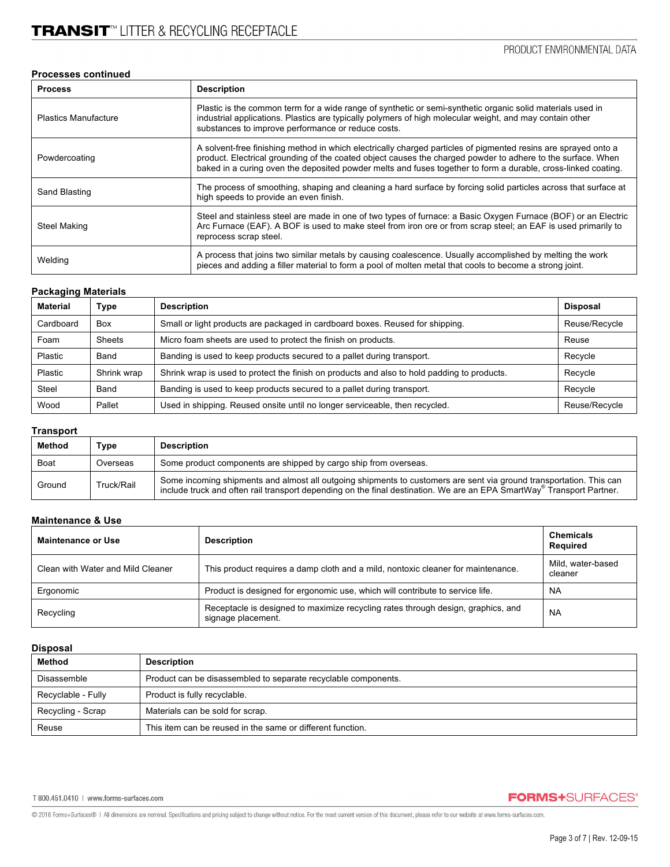### **Processes continued**

| <b>Process</b>              | <b>Description</b>                                                                                                                                                                                                                                                                                                                             |
|-----------------------------|------------------------------------------------------------------------------------------------------------------------------------------------------------------------------------------------------------------------------------------------------------------------------------------------------------------------------------------------|
| <b>Plastics Manufacture</b> | Plastic is the common term for a wide range of synthetic or semi-synthetic organic solid materials used in<br>industrial applications. Plastics are typically polymers of high molecular weight, and may contain other<br>substances to improve performance or reduce costs.                                                                   |
| Powdercoating               | A solvent-free finishing method in which electrically charged particles of pigmented resins are sprayed onto a<br>product. Electrical grounding of the coated object causes the charged powder to adhere to the surface. When<br>baked in a curing oven the deposited powder melts and fuses together to form a durable, cross-linked coating. |
| Sand Blasting               | The process of smoothing, shaping and cleaning a hard surface by forcing solid particles across that surface at<br>high speeds to provide an even finish.                                                                                                                                                                                      |
| Steel Making                | Steel and stainless steel are made in one of two types of furnace: a Basic Oxygen Furnace (BOF) or an Electric<br>Arc Furnace (EAF). A BOF is used to make steel from iron ore or from scrap steel; an EAF is used primarily to<br>reprocess scrap steel.                                                                                      |
| Welding                     | A process that joins two similar metals by causing coalescence. Usually accomplished by melting the work<br>pieces and adding a filler material to form a pool of molten metal that cools to become a strong joint.                                                                                                                            |

### **Packaging Materials**

| <b>Material</b> | <b>Type</b>   | <b>Description</b>                                                                          | <b>Disposal</b> |
|-----------------|---------------|---------------------------------------------------------------------------------------------|-----------------|
| Cardboard       | Box           | Small or light products are packaged in cardboard boxes. Reused for shipping.               | Reuse/Recycle   |
| Foam            | <b>Sheets</b> | Micro foam sheets are used to protect the finish on products.                               | Reuse           |
| Plastic         | Band          | Banding is used to keep products secured to a pallet during transport.                      | Recycle         |
| Plastic         | Shrink wrap   | Shrink wrap is used to protect the finish on products and also to hold padding to products. | Recycle         |
| Steel           | Band          | Banding is used to keep products secured to a pallet during transport.                      | Recycle         |
| Wood            | Pallet        | Used in shipping. Reused onsite until no longer serviceable, then recycled.                 | Reuse/Recycle   |

#### **Transport**

| <b>Method</b> | Type       | <b>Description</b>                                                                                                                                                                                                                           |
|---------------|------------|----------------------------------------------------------------------------------------------------------------------------------------------------------------------------------------------------------------------------------------------|
| Boat          | Overseas   | Some product components are shipped by cargo ship from overseas.                                                                                                                                                                             |
| Ground        | Truck/Rail | Some incoming shipments and almost all outgoing shipments to customers are sent via ground transportation. This can<br>include truck and often rail transport depending on the final destination. We are an EPA SmartWay® Transport Partner. |

### **Maintenance & Use**

| <b>Maintenance or Use</b>         | <b>Description</b>                                                                                     | <b>Chemicals</b><br>Required |
|-----------------------------------|--------------------------------------------------------------------------------------------------------|------------------------------|
| Clean with Water and Mild Cleaner | This product requires a damp cloth and a mild, nontoxic cleaner for maintenance.                       | Mild, water-based<br>cleaner |
| Ergonomic                         | Product is designed for ergonomic use, which will contribute to service life.                          | <b>NA</b>                    |
| Recycling                         | Receptacle is designed to maximize recycling rates through design, graphics, and<br>signage placement. | <b>NA</b>                    |

#### **Disposal**

| Method             | <b>Description</b>                                             |  |  |  |
|--------------------|----------------------------------------------------------------|--|--|--|
| Disassemble        | Product can be disassembled to separate recyclable components. |  |  |  |
| Recyclable - Fully | Product is fully recyclable.                                   |  |  |  |
| Recycling - Scrap  | Materials can be sold for scrap.                               |  |  |  |
| Reuse              | This item can be reused in the same or different function.     |  |  |  |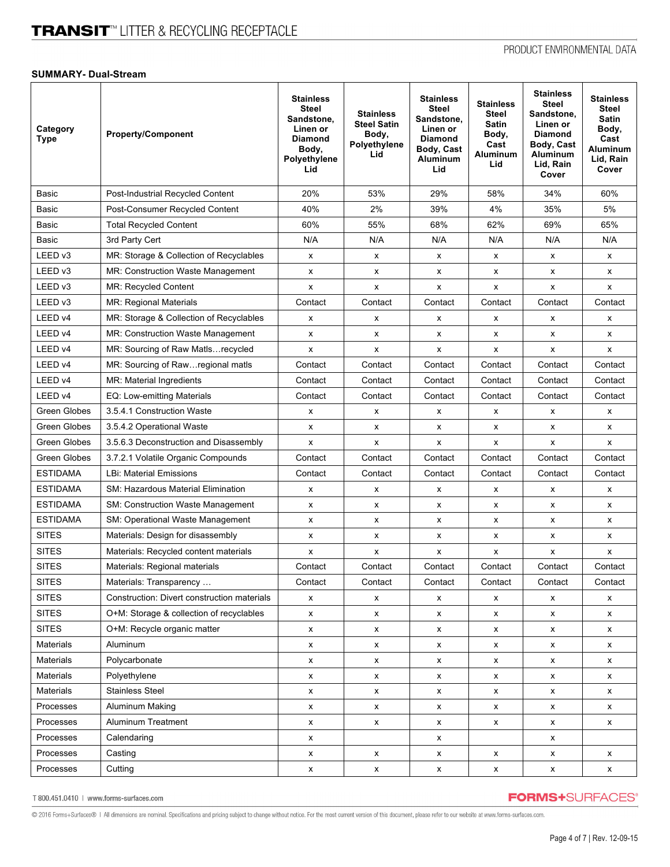## **SUMMARY- Dual-Stream**

| Category<br><b>Type</b> | <b>Property/Component</b>                   | <b>Stainless</b><br><b>Steel</b><br>Sandstone,<br>Linen or<br><b>Diamond</b><br>Body,<br>Polyethylene<br>Lid | <b>Stainless</b><br><b>Steel Satin</b><br>Body,<br>Polyethylene<br>Lid | <b>Stainless</b><br><b>Steel</b><br>Sandstone,<br>Linen or<br><b>Diamond</b><br>Body, Cast<br><b>Aluminum</b><br>Lid | <b>Stainless</b><br><b>Steel</b><br><b>Satin</b><br>Body,<br>Cast<br><b>Aluminum</b><br>Lid | <b>Stainless</b><br>Steel<br>Sandstone,<br>Linen or<br><b>Diamond</b><br>Body, Cast<br>Aluminum<br>Lid, Rain<br>Cover | <b>Stainless</b><br>Steel<br>Satin<br>Body,<br>Cast<br><b>Aluminum</b><br>Lid, Rain<br>Cover |
|-------------------------|---------------------------------------------|--------------------------------------------------------------------------------------------------------------|------------------------------------------------------------------------|----------------------------------------------------------------------------------------------------------------------|---------------------------------------------------------------------------------------------|-----------------------------------------------------------------------------------------------------------------------|----------------------------------------------------------------------------------------------|
| <b>Basic</b>            | Post-Industrial Recycled Content            | 20%                                                                                                          | 53%                                                                    | 29%                                                                                                                  | 58%                                                                                         | 34%                                                                                                                   | 60%                                                                                          |
| Basic                   | Post-Consumer Recycled Content              | 40%                                                                                                          | 2%                                                                     | 39%                                                                                                                  | 4%                                                                                          | 35%                                                                                                                   | 5%                                                                                           |
| <b>Basic</b>            | <b>Total Recycled Content</b>               | 60%                                                                                                          | 55%                                                                    | 68%                                                                                                                  | 62%                                                                                         | 69%                                                                                                                   | 65%                                                                                          |
| Basic                   | 3rd Party Cert                              | N/A                                                                                                          | N/A                                                                    | N/A                                                                                                                  | N/A                                                                                         | N/A                                                                                                                   | N/A                                                                                          |
| LEED v3                 | MR: Storage & Collection of Recyclables     | X                                                                                                            | X                                                                      | X                                                                                                                    | X                                                                                           | X                                                                                                                     | X                                                                                            |
| LEED v3                 | MR: Construction Waste Management           | x                                                                                                            | x                                                                      | X                                                                                                                    | X                                                                                           | x                                                                                                                     | X                                                                                            |
| LEED v3                 | <b>MR: Recycled Content</b>                 | x                                                                                                            | x                                                                      | x                                                                                                                    | x                                                                                           | X                                                                                                                     | X                                                                                            |
| LEED v3                 | <b>MR: Regional Materials</b>               | Contact                                                                                                      | Contact                                                                | Contact                                                                                                              | Contact                                                                                     | Contact                                                                                                               | Contact                                                                                      |
| LEED v4                 | MR: Storage & Collection of Recyclables     | x                                                                                                            | X                                                                      | X                                                                                                                    | X                                                                                           | X                                                                                                                     | X                                                                                            |
| LEED v4                 | MR: Construction Waste Management           | x                                                                                                            | x                                                                      | x                                                                                                                    | x                                                                                           | X                                                                                                                     | x                                                                                            |
| LEED v4                 | MR: Sourcing of Raw Matls recycled          | x                                                                                                            | X                                                                      | x                                                                                                                    | X                                                                                           | x                                                                                                                     | x                                                                                            |
| LEED v4                 | MR: Sourcing of Raw regional matls          | Contact                                                                                                      | Contact                                                                | Contact                                                                                                              | Contact                                                                                     | Contact                                                                                                               | Contact                                                                                      |
| LEED v4                 | MR: Material Ingredients                    | Contact                                                                                                      | Contact                                                                | Contact                                                                                                              | Contact                                                                                     | Contact                                                                                                               | Contact                                                                                      |
| LEED v4                 | EQ: Low-emitting Materials                  | Contact                                                                                                      | Contact                                                                | Contact                                                                                                              | Contact                                                                                     | Contact                                                                                                               | Contact                                                                                      |
| Green Globes            | 3.5.4.1 Construction Waste                  | x                                                                                                            | х                                                                      | х                                                                                                                    | х                                                                                           | х                                                                                                                     | x                                                                                            |
| <b>Green Globes</b>     | 3.5.4.2 Operational Waste                   | x                                                                                                            | X                                                                      | x                                                                                                                    | x                                                                                           | x                                                                                                                     | x                                                                                            |
| Green Globes            | 3.5.6.3 Deconstruction and Disassembly      | x                                                                                                            | x                                                                      | X                                                                                                                    | x                                                                                           | x                                                                                                                     | X                                                                                            |
| Green Globes            | 3.7.2.1 Volatile Organic Compounds          | Contact                                                                                                      | Contact                                                                | Contact                                                                                                              | Contact                                                                                     | Contact                                                                                                               | Contact                                                                                      |
| <b>ESTIDAMA</b>         | <b>LBi: Material Emissions</b>              | Contact                                                                                                      | Contact                                                                | Contact                                                                                                              | Contact                                                                                     | Contact                                                                                                               | Contact                                                                                      |
| <b>ESTIDAMA</b>         | <b>SM: Hazardous Material Elimination</b>   | x                                                                                                            | х                                                                      | X                                                                                                                    | x                                                                                           | x                                                                                                                     | x                                                                                            |
| <b>ESTIDAMA</b>         | <b>SM: Construction Waste Management</b>    | x                                                                                                            | x                                                                      | x                                                                                                                    | x                                                                                           | x                                                                                                                     | x                                                                                            |
| <b>ESTIDAMA</b>         | SM: Operational Waste Management            | x                                                                                                            | x                                                                      | X                                                                                                                    | x                                                                                           | x                                                                                                                     | x                                                                                            |
| <b>SITES</b>            | Materials: Design for disassembly           | x                                                                                                            | X                                                                      | X                                                                                                                    | X                                                                                           | x                                                                                                                     | x                                                                                            |
| <b>SITES</b>            | Materials: Recycled content materials       | x                                                                                                            | x                                                                      | X                                                                                                                    | X                                                                                           | x                                                                                                                     | x                                                                                            |
| <b>SITES</b>            | Materials: Regional materials               | Contact                                                                                                      | Contact                                                                | Contact                                                                                                              | Contact                                                                                     | Contact                                                                                                               | Contact                                                                                      |
| <b>SITES</b>            | Materials: Transparency                     | Contact                                                                                                      | Contact                                                                | Contact                                                                                                              | Contact                                                                                     | Contact                                                                                                               | Contact                                                                                      |
| <b>SITES</b>            | Construction: Divert construction materials | x                                                                                                            | X                                                                      | x                                                                                                                    | X                                                                                           | X                                                                                                                     | X                                                                                            |
| <b>SITES</b>            | O+M: Storage & collection of recyclables    | x                                                                                                            | X                                                                      | x                                                                                                                    | X                                                                                           | X                                                                                                                     | X                                                                                            |
| <b>SITES</b>            | O+M: Recycle organic matter                 | x                                                                                                            | x                                                                      | x                                                                                                                    | X                                                                                           | X                                                                                                                     | x                                                                                            |
| <b>Materials</b>        | Aluminum                                    | x                                                                                                            | X                                                                      | x                                                                                                                    | X                                                                                           | X                                                                                                                     | X                                                                                            |
| <b>Materials</b>        | Polycarbonate                               | x                                                                                                            | X                                                                      | x                                                                                                                    | X                                                                                           | X                                                                                                                     | X                                                                                            |
| Materials               | Polyethylene                                | x                                                                                                            | х                                                                      | x                                                                                                                    | X                                                                                           | X                                                                                                                     | X                                                                                            |
| <b>Materials</b>        | <b>Stainless Steel</b>                      | x                                                                                                            | X                                                                      | х                                                                                                                    | X                                                                                           | х                                                                                                                     | x                                                                                            |
| Processes               | Aluminum Making                             | x                                                                                                            | X                                                                      | x                                                                                                                    | X                                                                                           | X                                                                                                                     | X                                                                                            |
| Processes               | <b>Aluminum Treatment</b>                   | x                                                                                                            | X                                                                      | x                                                                                                                    | X                                                                                           | X                                                                                                                     | X                                                                                            |
| Processes               | Calendaring                                 | x                                                                                                            |                                                                        | x                                                                                                                    |                                                                                             | X                                                                                                                     |                                                                                              |
| Processes               | Casting                                     | x                                                                                                            | х                                                                      | x                                                                                                                    | x                                                                                           | X                                                                                                                     | x                                                                                            |
| Processes               | Cutting                                     | x                                                                                                            | $\pmb{\mathsf{x}}$                                                     | X                                                                                                                    | X                                                                                           | X                                                                                                                     | X                                                                                            |

T 800.451.0410 | www.forms-surfaces.com

**FORMS+SURFACES®** 

@ 2016 Forms+Surfaces® | All dimensions are nominal. Specifications and pricing subject to change without notice. For the most current version of this document, please refer to our website at www.forms-surfaces.com.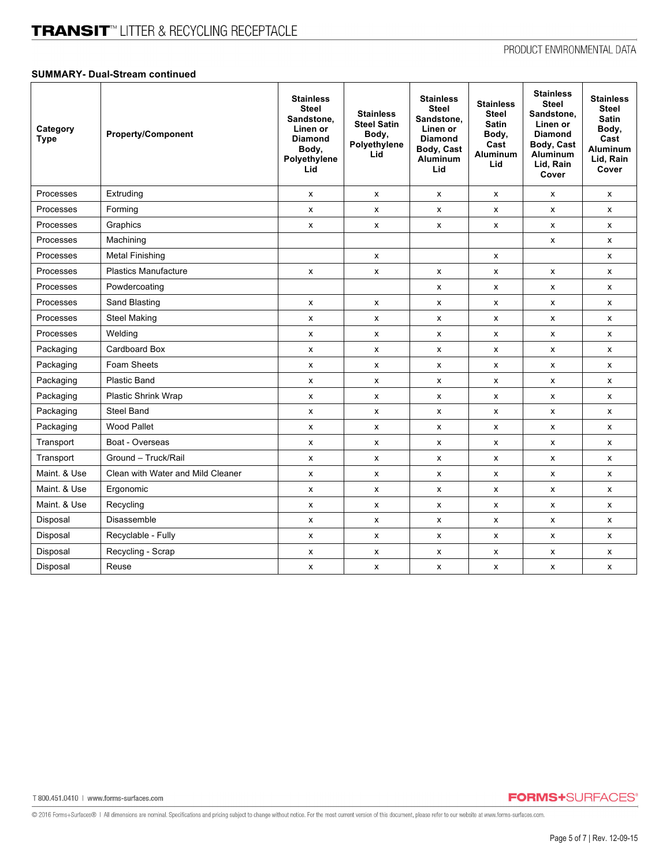# **SUMMARY- Dual-Stream continued**

| Category<br><b>Type</b> | <b>Property/Component</b>         | <b>Stainless</b><br><b>Steel</b><br>Sandstone.<br>Linen or<br><b>Diamond</b><br>Body,<br>Polyethylene<br>Lid | <b>Stainless</b><br><b>Steel Satin</b><br>Body,<br>Polyethylene<br>Lid | <b>Stainless</b><br><b>Steel</b><br>Sandstone.<br>Linen or<br><b>Diamond</b><br>Body, Cast<br><b>Aluminum</b><br>Lid | <b>Stainless</b><br><b>Steel</b><br><b>Satin</b><br>Body,<br>Cast<br><b>Aluminum</b><br>Lid | <b>Stainless</b><br><b>Steel</b><br>Sandstone.<br>Linen or<br><b>Diamond</b><br>Body, Cast<br>Aluminum<br>Lid, Rain<br>Cover | <b>Stainless</b><br><b>Steel</b><br><b>Satin</b><br>Body,<br>Cast<br><b>Aluminum</b><br>Lid, Rain<br>Cover |
|-------------------------|-----------------------------------|--------------------------------------------------------------------------------------------------------------|------------------------------------------------------------------------|----------------------------------------------------------------------------------------------------------------------|---------------------------------------------------------------------------------------------|------------------------------------------------------------------------------------------------------------------------------|------------------------------------------------------------------------------------------------------------|
| Processes               | Extruding                         | X                                                                                                            | X                                                                      | X                                                                                                                    | x                                                                                           | x                                                                                                                            | x                                                                                                          |
| Processes               | Forming                           | X                                                                                                            | x                                                                      | x                                                                                                                    | X                                                                                           | X                                                                                                                            | X                                                                                                          |
| Processes               | Graphics                          | x                                                                                                            | x                                                                      | x                                                                                                                    | x                                                                                           | x                                                                                                                            | x                                                                                                          |
| Processes               | Machining                         |                                                                                                              |                                                                        |                                                                                                                      |                                                                                             | x                                                                                                                            | x                                                                                                          |
| Processes               | <b>Metal Finishing</b>            |                                                                                                              | X                                                                      |                                                                                                                      | x                                                                                           |                                                                                                                              | x                                                                                                          |
| Processes               | <b>Plastics Manufacture</b>       | X                                                                                                            | x                                                                      | x                                                                                                                    | x                                                                                           | x                                                                                                                            | x                                                                                                          |
| Processes               | Powdercoating                     |                                                                                                              |                                                                        | x                                                                                                                    | x                                                                                           | x                                                                                                                            | x                                                                                                          |
| Processes               | Sand Blasting                     | X                                                                                                            | x                                                                      | X                                                                                                                    | x                                                                                           | X                                                                                                                            | x                                                                                                          |
| Processes               | <b>Steel Making</b>               | X                                                                                                            | x                                                                      | x                                                                                                                    | x                                                                                           | X                                                                                                                            | x                                                                                                          |
| Processes               | Welding                           | X                                                                                                            | X                                                                      | X                                                                                                                    | x                                                                                           | X                                                                                                                            | x                                                                                                          |
| Packaging               | Cardboard Box                     | X                                                                                                            | x                                                                      | X                                                                                                                    | x                                                                                           | x                                                                                                                            | x                                                                                                          |
| Packaging               | Foam Sheets                       | x                                                                                                            | x                                                                      | x                                                                                                                    | x                                                                                           | X                                                                                                                            | x                                                                                                          |
| Packaging               | <b>Plastic Band</b>               | X                                                                                                            | X                                                                      | X                                                                                                                    | x                                                                                           | x                                                                                                                            | x                                                                                                          |
| Packaging               | Plastic Shrink Wrap               | x                                                                                                            | x                                                                      | x                                                                                                                    | X                                                                                           | x                                                                                                                            | X                                                                                                          |
| Packaging               | Steel Band                        | X                                                                                                            | x                                                                      | x                                                                                                                    | x                                                                                           | x                                                                                                                            | x                                                                                                          |
| Packaging               | <b>Wood Pallet</b>                | X                                                                                                            | x                                                                      | x                                                                                                                    | x                                                                                           | x                                                                                                                            | x                                                                                                          |
| Transport               | Boat - Overseas                   | X                                                                                                            | x                                                                      | x                                                                                                                    | x                                                                                           | x                                                                                                                            | x                                                                                                          |
| Transport               | Ground - Truck/Rail               | X                                                                                                            | X                                                                      | x                                                                                                                    | X                                                                                           | X                                                                                                                            | X                                                                                                          |
| Maint, & Use            | Clean with Water and Mild Cleaner | X                                                                                                            | x                                                                      | X                                                                                                                    | x                                                                                           | X                                                                                                                            | x                                                                                                          |
| Maint, & Use            | Ergonomic                         | x                                                                                                            | x                                                                      | x                                                                                                                    | x                                                                                           | x                                                                                                                            | X                                                                                                          |
| Maint, & Use            | Recycling                         | X                                                                                                            | x                                                                      | X                                                                                                                    | x                                                                                           | x                                                                                                                            | x                                                                                                          |
| Disposal                | Disassemble                       | X                                                                                                            | x                                                                      | X                                                                                                                    | x                                                                                           | x                                                                                                                            | x                                                                                                          |
| Disposal                | Recyclable - Fully                | x                                                                                                            | x                                                                      | x                                                                                                                    | x                                                                                           | x                                                                                                                            | X                                                                                                          |
| Disposal                | Recycling - Scrap                 | X                                                                                                            | X                                                                      | X                                                                                                                    | x                                                                                           | x                                                                                                                            | x                                                                                                          |
| Disposal                | Reuse                             | х                                                                                                            | х                                                                      | х                                                                                                                    | х                                                                                           | х                                                                                                                            | x                                                                                                          |

**FORMS+SURFACES®**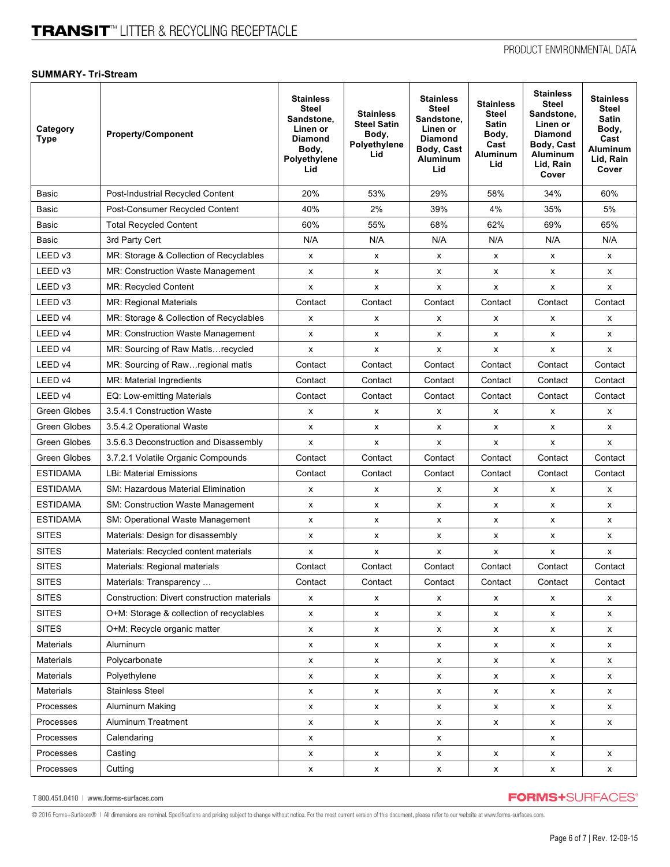# **SUMMARY- Tri-Stream**

| Category<br><b>Type</b> | <b>Property/Component</b>                   | <b>Stainless</b><br><b>Steel</b><br>Sandstone,<br>Linen or<br><b>Diamond</b><br>Body,<br><b>Polyethylene</b><br>Lid | <b>Stainless</b><br><b>Steel Satin</b><br>Body,<br>Polyethylene<br>Lid | <b>Stainless</b><br><b>Steel</b><br>Sandstone,<br>Linen or<br><b>Diamond</b><br>Body, Cast<br><b>Aluminum</b><br>Lid | <b>Stainless</b><br><b>Steel</b><br><b>Satin</b><br>Body,<br>Cast<br><b>Aluminum</b><br>Lid | <b>Stainless</b><br>Steel<br>Sandstone,<br>Linen or<br><b>Diamond</b><br>Body, Cast<br>Aluminum<br>Lid, Rain<br>Cover | <b>Stainless</b><br><b>Steel</b><br><b>Satin</b><br>Body,<br>Cast<br><b>Aluminum</b><br>Lid, Rain<br>Cover |
|-------------------------|---------------------------------------------|---------------------------------------------------------------------------------------------------------------------|------------------------------------------------------------------------|----------------------------------------------------------------------------------------------------------------------|---------------------------------------------------------------------------------------------|-----------------------------------------------------------------------------------------------------------------------|------------------------------------------------------------------------------------------------------------|
| <b>Basic</b>            | Post-Industrial Recycled Content            | 20%                                                                                                                 | 53%                                                                    | 29%                                                                                                                  | 58%                                                                                         | 34%                                                                                                                   | 60%                                                                                                        |
| Basic                   | Post-Consumer Recycled Content              | 40%                                                                                                                 | 2%                                                                     | 39%                                                                                                                  | 4%                                                                                          | 35%                                                                                                                   | 5%                                                                                                         |
| Basic                   | <b>Total Recycled Content</b>               | 60%                                                                                                                 | 55%                                                                    | 68%                                                                                                                  | 62%                                                                                         | 69%                                                                                                                   | 65%                                                                                                        |
| Basic                   | 3rd Party Cert                              | N/A                                                                                                                 | N/A                                                                    | N/A                                                                                                                  | N/A                                                                                         | N/A                                                                                                                   | N/A                                                                                                        |
| LEED v3                 | MR: Storage & Collection of Recyclables     | x                                                                                                                   | X                                                                      | X                                                                                                                    | x                                                                                           | X                                                                                                                     | X                                                                                                          |
| LEED v3                 | MR: Construction Waste Management           | x                                                                                                                   | x                                                                      | x                                                                                                                    | x                                                                                           | x                                                                                                                     | x                                                                                                          |
| LEED v3                 | MR: Recycled Content                        | $\pmb{\times}$                                                                                                      | x                                                                      | x                                                                                                                    | x                                                                                           | x                                                                                                                     | x                                                                                                          |
| LEED v3                 | <b>MR: Regional Materials</b>               | Contact                                                                                                             | Contact                                                                | Contact                                                                                                              | Contact                                                                                     | Contact                                                                                                               | Contact                                                                                                    |
| LEED v4                 | MR: Storage & Collection of Recyclables     | x                                                                                                                   | x                                                                      | x                                                                                                                    | x                                                                                           | x                                                                                                                     | x                                                                                                          |
| LEED v4                 | MR: Construction Waste Management           | x                                                                                                                   | x                                                                      | x                                                                                                                    | x                                                                                           | X                                                                                                                     | X                                                                                                          |
| LEED v4                 | MR: Sourcing of Raw Matls recycled          | x                                                                                                                   | x                                                                      | x                                                                                                                    | x                                                                                           | x                                                                                                                     | x                                                                                                          |
| LEED v4                 | MR: Sourcing of Raw regional matls          | Contact                                                                                                             | Contact                                                                | Contact                                                                                                              | Contact                                                                                     | Contact                                                                                                               | Contact                                                                                                    |
| LEED v4                 | MR: Material Ingredients                    | Contact                                                                                                             | Contact                                                                | Contact                                                                                                              | Contact                                                                                     | Contact                                                                                                               | Contact                                                                                                    |
| LEED v4                 | EQ: Low-emitting Materials                  | Contact                                                                                                             | Contact                                                                | Contact                                                                                                              | Contact                                                                                     | Contact                                                                                                               | Contact                                                                                                    |
| Green Globes            | 3.5.4.1 Construction Waste                  | х                                                                                                                   | х                                                                      | х                                                                                                                    | х                                                                                           | х                                                                                                                     | x                                                                                                          |
| Green Globes            | 3.5.4.2 Operational Waste                   | x                                                                                                                   | x                                                                      | X                                                                                                                    | x                                                                                           | X                                                                                                                     | x                                                                                                          |
| Green Globes            | 3.5.6.3 Deconstruction and Disassembly      | x                                                                                                                   | x                                                                      | x                                                                                                                    | x                                                                                           | x                                                                                                                     | X                                                                                                          |
| Green Globes            | 3.7.2.1 Volatile Organic Compounds          | Contact                                                                                                             | Contact                                                                | Contact                                                                                                              | Contact                                                                                     | Contact                                                                                                               | Contact                                                                                                    |
| <b>ESTIDAMA</b>         | <b>LBi: Material Emissions</b>              | Contact                                                                                                             | Contact                                                                | Contact                                                                                                              | Contact                                                                                     | Contact                                                                                                               | Contact                                                                                                    |
| <b>ESTIDAMA</b>         | SM: Hazardous Material Elimination          | x                                                                                                                   | x                                                                      | x                                                                                                                    | x                                                                                           | X                                                                                                                     | x                                                                                                          |
| <b>ESTIDAMA</b>         | SM: Construction Waste Management           | x                                                                                                                   | x                                                                      | x                                                                                                                    | x                                                                                           | x                                                                                                                     | x                                                                                                          |
| <b>ESTIDAMA</b>         | SM: Operational Waste Management            | x                                                                                                                   | X                                                                      | X                                                                                                                    | x                                                                                           | x                                                                                                                     | x                                                                                                          |
| <b>SITES</b>            | Materials: Design for disassembly           | x                                                                                                                   | x                                                                      | x                                                                                                                    | x                                                                                           | x                                                                                                                     | x                                                                                                          |
| <b>SITES</b>            | Materials: Recycled content materials       | x                                                                                                                   | x                                                                      | X                                                                                                                    | x                                                                                           | X                                                                                                                     | x                                                                                                          |
| <b>SITES</b>            | Materials: Regional materials               | Contact                                                                                                             | Contact                                                                | Contact                                                                                                              | Contact                                                                                     | Contact                                                                                                               | Contact                                                                                                    |
| <b>SITES</b>            | Materials: Transparency                     | Contact                                                                                                             | Contact                                                                | Contact                                                                                                              | Contact                                                                                     | Contact                                                                                                               | Contact                                                                                                    |
| <b>SITES</b>            | Construction: Divert construction materials | x                                                                                                                   | X                                                                      | X                                                                                                                    | x                                                                                           | X                                                                                                                     | x                                                                                                          |
| <b>SITES</b>            | O+M: Storage & collection of recyclables    | x                                                                                                                   | x                                                                      | х                                                                                                                    | x                                                                                           | х                                                                                                                     | x                                                                                                          |
| <b>SITES</b>            | O+M: Recycle organic matter                 | x                                                                                                                   | X                                                                      | X                                                                                                                    | x                                                                                           | X                                                                                                                     | X                                                                                                          |
| Materials               | Aluminum                                    | x                                                                                                                   | X                                                                      | х                                                                                                                    | х                                                                                           | х                                                                                                                     | х                                                                                                          |
| Materials               | Polycarbonate                               | x                                                                                                                   | x                                                                      | X                                                                                                                    | x                                                                                           | X                                                                                                                     | x                                                                                                          |
| Materials               | Polyethylene                                | x                                                                                                                   | x                                                                      | x                                                                                                                    | x                                                                                           | X                                                                                                                     | x                                                                                                          |
| Materials               | <b>Stainless Steel</b>                      | x                                                                                                                   | x                                                                      | X                                                                                                                    | x                                                                                           | X                                                                                                                     | X                                                                                                          |
| Processes               | Aluminum Making                             | x                                                                                                                   | X                                                                      | х                                                                                                                    | x                                                                                           | X                                                                                                                     | x                                                                                                          |
| Processes               | Aluminum Treatment                          | x                                                                                                                   | X                                                                      | X                                                                                                                    | x                                                                                           | X                                                                                                                     | X                                                                                                          |
| Processes               | Calendaring                                 | x                                                                                                                   |                                                                        | X                                                                                                                    |                                                                                             | x                                                                                                                     |                                                                                                            |
| Processes               | Casting                                     | x                                                                                                                   | х                                                                      | X                                                                                                                    | x                                                                                           | X                                                                                                                     | X                                                                                                          |
| Processes               | Cutting                                     | x                                                                                                                   | X                                                                      | $\pmb{\mathsf{x}}$                                                                                                   | $\pmb{\mathsf{X}}$                                                                          | $\pmb{\mathsf{x}}$                                                                                                    | X                                                                                                          |

T 800.451.0410 | www.forms-surfaces.com

**FORMS+SURFACES®** 

@ 2016 Forms+Surfaces® | All dimensions are nominal. Specifications and pricing subject to change without notice. For the most current version of this document, please refer to our website at www.forms-surfaces.com.